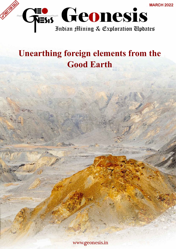

# **Unearthing foreign elements from the Good Earth**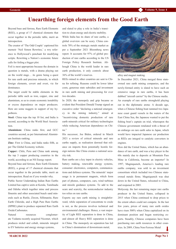### **Unearthing foreign elements from the Good Earth**

Beyond base and ferrous, Rare Earth Elements (REE), a group of 17 chemical elements that occur together in the periodic table, merit an introspection.

The creator of 'The Odd Couple' captioned his memoir 'Neil Simon Rewrites,' a wry reference to [Hollywood's](https://www.financialexpress.com/about/hollywood/) penchant for modifying scripts. Rewriting a Nation's economic future calls for foiling a bigger plot.

Foil is most appropriate because the domain in question is metals, with a drama playing out on the world stage… its genre being a quest for rare earth and precious minerals, in which foreign elements, covert and overt, vie for dominance.

The target could be stable elements in the periodic table such as iron, copper, zinc and aluminium, so as to create economic instability or excess dependence on major producers. Here are some nuggets in support of my hypothesis.

**Steel:** China tops the top 10 list, and India is second, according to the World Steel Association.

**Aluminium:** China ranks first, and GCC countries second, as per International Aluminium Institute ranking.

**Zinc:** First is China, and India ranks fifth, as per The Global Economy website.

**Copper:** Chile, Peru and China rank among the top 3 copper producing countries in the world, according to an NS Energy report.

Beyond base and ferrous, Rare Earth Elements (REE), a group of 17 chemical elements that occur together in the periodic table, merit an introspection. Read on if you wonder why.

Public Sector Undertaking Indian Rare Earths Limited has captive units at Kerala, Tamilnadu and Odisha which together mine and process Ilmenite and other associated beach sand minerals such as Rutile, Zircon, Sillimanite, Rare Earth Chloride, and a High Pure Rare Earths (HPRE) plant to produce separated Rare Earth Oxide/Carbonates.

Natural resources conglomerate [Vedanta](https://www.financialexpress.com/market/stock-market/vedanta-ltd-stock-price/) recently acquired Nicomet, which produces nickel and cobalt, minerals integral to EV batteries and energy storage systems,

and slated to play a role in India's transition to clean energy and electric mobility. While India has its share of rare earths, a global overview can be scary. China controls 70% of the strategic metals market as per a September 2021 Bloomberg news report. It accounts for 97% of global production of rare earths according to the US Foreign Policy Research Institute. Although China is the world leader in rare earth production, it only controls about 36% of the world's reserves.

REEs mined in other countries are sent to China for refining. Reasons could be lower labor costs, generous state subsidies and investment in rare earth mining and processing for over two decades.

In 2020, the monopoly and grip became so evident that President Donald Trump signed an executive order "declaring a national emergency in the mining industry," aimed at "incentivizing domestic production of rare earth minerals critical for military technologies while reducing American dependence on China."

His successor, Joe Biden, ordered in March 2021 a review of critical minerals and rare earths supply, as realisation dawned that reliance on imports from potentially hostile foreign nations like China creates a national security risk.

Rare earths are a key input in electric vehicles, battery making, renewable energy systems, consumer electronics, computers, communications and defence systems. The minerals' major usage is in [permanent magnets,](https://www.financialexpress.com/market/stock-market/permanent-magnets-ltd-stock-price/) which form part of phones, computers, cars, wind turbines and missile guidance systems. To add to the scare and scarcity, the semiconductor industry too relies on rare earths.

Experts say rare earth mining is straightforward, while separation of concentrate to oxide is not, as the process involves technical and environmental challenges. Hence, a vast majority of Light REE separation is done in China, and almost all Heavy REE separation is done in China. The monopoly on separation has led to China's domination of downstream metal,



alloy and magnet making.

In December 2021, China merged three stateowned rare earth mining companies, and the newly-formed entity is slated to have such an extensive range in rare earths, it has been dubbed "aircraft carrier" by the Chinese media. An example of rare earths stronghold playing out in the diplomatic arena: A decade ago, when a Chinese fishing boat rammed two Japanese coast guard vessels in the waters of the East China Sea, the Japanese wanted to put the fishing boat's captain on trial, whereupon the Chinese government retaliated with a threat of an embargo on rare earth sales to Japan, which would have impacted Japanese car production as REEs are integral to catalytic converters in engines.

How did the United States, which has an abundance of rare earth, and was a key player in the 60s mainly due to deposits at Mountain Pass Mine in California, become an importer? In 1997, Magniquench, America's leading rare earths company, was sold to an investment consortium which included two Chinese stateowned metals firms. Magniquench was shut down in the United States, relocated to China, and reopened in 2003.

Molycorp, the last remaining major rare earths producer in the United States, collapsed in 2015 when China continued to drop prices to the extent others could not compete. In the last few years, prices of many rare earth oxides have risen 500% when China capitalized on its dominant position and began restricting exports. Steadily, Chinese companies have been purchasing rare earth resources in other countries. In 2009, China Non-Ferrous Metal

**MARCH 2022 Page No 1**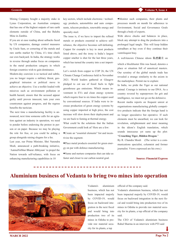Mining Company bought a majority stake in Lynas Corporation, an Australian company that has one of the highest outputs of rare earth elements outside of China, and the Baluba Mine in Zambia.

If you are at ease reading about setbacks faced by US companies, damage control measures by Uncle Sam, or cornering of the metals and rare earths market by China, it's time check our own backyard. In India, the strategy works in reverse through undue focus on companies in the metal production category in which foreign countries wish to gain dominance.

Modern-day coercion is so tactical and subtle, you no longer require a military threat, geographical intrusion or political move to achieve an objective. Use a toolkit loaded with missives such as environment pollution or health hazard, ensure that the accused appear guilty until proven innocent, turn your own countrymen against progress, and the regress benefits the tactician.

The next time a manufacturing facility is announced, next time someone calls for an agitation against an industry in operation, we need to ponder before endorsing the protest in person or on paper. Because we may be playing the role for free, or you could be aiding a group alongside raising slogans for a fee.

Last year, our Prime Minister, Shri Narendra [Modi,](https://www.financialexpress.com/about/narendra-modi/) announced a path-breaking initiative, 'AatmaNirbhar Bharat Abhiyaan' to propel the Nation towards self-reliance, with focus on enhancing manufacturing capabilities in 10

key sectors, which include electronic / technology products, automobiles and auto components, telecom products, renewable energy and specialty steel.

The issue is, if we have to import the refined metals or products essential to achieve selfreliance, the objective becomes self-defeating. Copper for example is key to most products listed above, and the irony is India's largest copper smelter is shut for the last three years, which has turned the country into a net importer.

Let's switch from copper to COP 26, the UN Climate Change Conference held in November 2021. World leaders gathered at Glasgow pledged to cut use of fossil fuels to fight greenhouse gas emissions. Which means investment in EVs and clean energy systems which require four to six times the copper used by conventional sources. If India were to increase production of green energy systems by using copper imported at high price, the cost increase will slow down their deployment and we are back to fuming at thermal energy.

What could be the solutions that the Indian Government could look at? Here are a few:

Create an "essential elements" list and incentivize the segment.

Place metal products essential for green energy on par with defence manufacturing.

Name and nurture companies that can take us faster and closer to our carbon neutral goal.

Monitor such companies, their plants and processes month on month for adherence to Environment, Social and Governance Goals through a body of experts.

With above checks and balances in place, block any attempt to drag the producers into a prolonged legal tangle. This will keep hidden sutradhars at bay even if they continue their ventriloquist bray.

A well-known Chinese idiom 臥虎藏龙 on

which a blockbuster film was based, denotes a place or situation full of unnoticed masters. Our scrutiny of the global metals trade has revealed a strange similarity to the axiom in the marketplace. Permit me to explain:

In India, we pride the Tiger as our national animal. Courage is intrinsic to our DNA. As a country revered by superpowers for grit and intelligence, we must not go on the defensive. Recent media reports on frequent unrest at organisations manufacturing globally competitive products indicate that the foreign hand is no longer speculative but operative. If such elements must be unearthed, we can look for revelation, enlightenment and inner meaning in the idiom's English translation, which sounds innocuous yet sums up the plot: "**Crouching Tiger, Hidden Dragon**."

By R. Chandra Mouli **(**The writer is a communications specialist, columnist and former journalist. Views expressed are his own.)

#### **Source: Financial Express**

### **Aluminium business of Vedanta to bring two mines into operation**



Vedanta's aluminium business, which has not been impacted majorly by COVID-19, would focus on backward integration in the next fiscal and would bring into production two of its mines in Odisha to provide raw material security for its plants, a top

official of the company said.

Vedanta's aluminium business, which has not been impacted majorly by COVID-19, would focus on backward integration in the next fiscal and would bring into production two of its mines in Odisha to provide raw material security for its plants, a top official of the company said.

The CEO of Vedanta's aluminium business Rahul Sharma in an interview with PTI said

**MARCH 2022**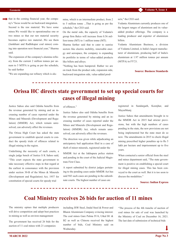that in the coming financial year, the company's "focus would be on backward integration. Second is the raw material. We have some mines.We would like to operationalise one or two mines so that our raw material security becomes captive raw material...We see them (Jamkhani and Radhikapur coal mines) coming into operation next financial year," Sharma said.

The expansion of the company's alumina refinery from the current 2 million tonnes per annum to 5 MTPA is going as per the schedule, he said further

"We are expanding our refinery which is alu-

mina, which is an intermediate product, from 2 to 5 million tonne ...That is going as per the schedule," the CEO said.

On the metal side, the capacity of Vedanta's group firm Balco will increase from 0.56 million tonne (MT) to 1 million tonne (MT).

Sharma further said that to cater to sunrise sectors like electric mobility, renewable energy and aerospace, the company is expanding its portfolio in terms of value-added products like billets and alloys.

"Nothing has been hampered. Rather we are on track from the product side, expansion side, backward integration side, value-added prod-

--------

#### ucts," the CEO said.

[Vedanta](https://www.business-standard.com/topic/vedanta) Aluminium currently produces one of the largest ranges of aluminium and its valueadded product offerings. The company is a leading producer and exporter of aluminium **billets** 

[Vedanta](https://www.business-standard.com/topic/vedanta) Aluminium Business, a division of [Vedanta](https://www.business-standard.com/topic/vedanta) Limited, is India's largest manufacturer of aluminium, producing half of India's aluminium at 1.97 million tonnes per annum (MTPA) in FY'21.

#### **Source: Business Standards**

### **Orissa HC directs state government to set up special courts for cases of illegal mining**

Justice Sahoo also said Odisha benefits from the revenue generated by mining and an increasing number of cases reported under the Mines and Minerals (Development and Regulation) (MMDR) Act, which remain unresolved, can adversely affect the revenues.

The Orissa High Court has asked the state government to establish special courts to conduct the speedy trials of offences related to illegal mining in the region.

Underlining the necessity of such courts, a single judge bench of Justice S K Sahoo said, "This court expects the state government to take necessary effective steps in that regard at the earliest in consonance with the provision under section 30-B of the Mines & Minerals (Development and Regulation) Act, 1957 for constitution of special courts for speedy trial

of offences."

Justice Sahoo also said Odisha benefits from the revenue generated by mining and an increasing number of cases reported under the Mines and Minerals (Development and Regulation) (MMDR) Act, which remain unresolved, can adversely affect the revenues.

The direction was given while adjudicating an anticipatory bail application filed in a case of theft of minor minerals, registered under the

MMDR Act at the Jakhapura police station and pending in the court of the Judicial Magistrate First Class.

A report submitted by district judges pertaining to the pending cases under MMDR Act has said 943 such cases are pending in the subordinate courts. The highest number of cases are

registered in Sundargarh, Keonjhar, and Mayurbhanj.

Justice Sahoo that amendments brought in to the MMDR Act in 2015 had stricter provisions, but with the high numbers of cases pending in the state, the new provisions are not being implemented but the state must do so now. The amendments in 2015 to check illegal mining prescribed higher penalties up to Rs 5 lakh per hectare and imprisonment up to five years.

When contacted a senior official from the steel and mines department said, "The state government is positive on establishing a special court for illegal mining cases. This has been conveyed to the court as well. But it is too soon to discuss the modalities."

#### **Source: Indian Express**

### **Coal Ministry receives 26 bids for auction of 11 mines**

The ministry opines that multiple producers will drive competition and adopt best practices in mining as well as environ management

The government has received 26 bids for the auction of 11 coal mines with 21 companies

including JSW Steel, Jindal Steel & Power and Bharat Aluminium Company evincing interest. The coal mines Gare Palma IV/6, Utkal B1 & B2 as well as Chinora received the highest number of bids, Coal Ministry said on Wednesday.

"The process of the 4th tranche of auction of coal mines for sale of coal was launched by the Ministry of Coal on December 16, 2021. The last date of submission of technical bids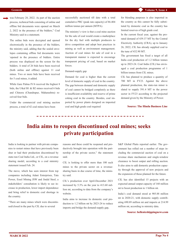was February 28, 2022. As part of the auction process, technical bids consisting of online and offline bid documents were opened on March 2, 2022 in the presence of the bidders," Coal Ministry said in a statement.

The online bids were decrypted and opened electronically in the presence of the bidders, the ministry said, adding that the sealed envelopes containing offline bid documents were \opened in the presence of bidders. Entire process was displayed on the screen for the bidders. A total of 26 bids have been received (both online and offline) against 11 coal mines. Two or more bids have been received for 5 coal mines, it added.

While Gare Palma IV/6 received the highest 8 bids, the Utkal B1 & B2 mines received 6 bids and Chinora (Chandrapur, Maharashtra) received four bids.

Under the commercial coal mining auction process, a total of 42 coal mines have been

successfully auctioned till date with a total cumulative PRC (peak rate capacity) of 86.404 million tonnes per annum (MTPA).

The ministry's view is that a coal mine auction for the sale of coal would create a marketplace for the dry fuel with multiple producers to drive competition and adopt best practices in mining as well as environment management. Auction of coal mines for sale of coal in a transparent manner is expected to encourage transparent pricing of coal, based on market forces.

#### Demand-supply gap

Demand for coal is higher than the current level of domestic supply of coal in the country. The gap between demand and domestic supply of coal cannot be bridged completely as there is insufficient availability and reserve of prime coking coal in the country. Besides, coal imported by power plants designed on imported coal and high grade coal required

for blending purposes is also imported in the country as this cannot be fully substituted by domestic coal as the country has limited reserves of high grade coal.

In the current fiscal year, against the prorated demand of 439.37 MT by the Central Electricity Authority (CRA), up to January 26, 2022, CIL has already supplied coal to the tune of 432.90 MT.

The government has fixed a target of all India coal production of 1.2 billion tonnes up to 2023-24. Coal India (CIL) has envisaged a coal production programme of 1 billion tonnes from CIL mines.

CIL has planned to produce a quantity of 700 MT in FY23. Against the above planned production, the state-run miner is slated to supply 591.4 MT to the power sector in FY23 according to the projected demand given by the Ministry of Power.

**Source: The Hindu Business Line**

### **India aims to reopen discontinued coal mines; seeks private participation**

India is looking to partner with private companies to restart mines that have previously been shut or had their production discontinued by state-run Coal India Ltd., or CIL, on a revenue sharing model, according to a coal ministry statement issued Feb. 24.

The move, which has seen interest from top companies including Adani Enterprises, Tata Power, Essel Mining JSW and Jindal Steel, a stakeholders' consultation is likely to see increase in production, lower import dependence and bring relief to domestic coal shortage in the country.

"There are many mines which were discontinued/closed in the past by CIL due to several

reasons and these could be reopened and productively brought into operation with the partnership of the private sector," the statement said.

CIL is looking to offer more than 100 such mines to the private sector on a revenuesharing basis in due course of time, the ministry said.

CIL's production over April-December 2021 increased by 5.3% on the year to 413.60 million mt, according to data from the company's website.

India aims to increase its domestic coal production to 1.2 billion mt by 2023-24 to reduce imports and bridge the demand-supply gap,

S&P Global Platts reported earlier. The government has rolled out a number of steps including the commercial auction of coal on a revenue share mechanism and single-window clearance to boost output and rolling auction. It also aims to add domestic production capacity through the approval of new projects and the expansion of those planned for the future.

CIL has also identified 15 projects with an expected annual output capacity of 160 million mt to boost production to 1 billion mt.

India's coal demand stood at 905.88 million mt in 2020-21, with domestic supply contributing 690.89 million mt and imports at 214.99 million mt, according to ministry data.

#### **Source: hellenicshippingnews.com**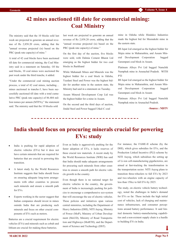# **42 mines auctioned till date for commercial mining: Coal Ministry**

The ministry said that the 10 blocks sold last week are projected to generate an annual revenue of Rs 2,858.20 crore, adding that the "annual revenue projected (is) based on the PRC (peak rate capacity) of mine."

A total of 42 coal blocks have been auctioned till date for commercial mining, the Coal Ministry said in a statement on Saturday. Of the said blocks, 10 coal mines were auctioned the past week under the third tranche, it added.

"Under the commercial coal mining auction process, a total of 42 coal mines, including… mines auctioned in tranche-3, have been successfully auctioned till date with a total cumulative PRC (peak rate capacity) of 86.404 million tonnes per annum (MTPA)," the statement said. The ministry said that the 10 blocks sold

last week are projected to generate an annual revenue of Rs 2,858.20 crore, adding that the "annual revenue projected (is) based on the PRC (peak rate capacity) of mine."

On the first day of the auction, five blocks were sold, with Dalmia Cement Bharat Ltd emerging as the highest bidder for two coal blocks in Jharkhand

While Mahanadi Mines and Minerals was the highest bidder for a coal block in Odisha, Yazdani Steel and Power was the highest bidder for another mine in the eastern state, the Ministry had said in a statement on Tuesday.

Assam Mineral Development Corp Ltd was the highest bidder for a mine in Assam.

On the second and the third days of auction, Jindal Steel and Power bagged Utkal-C coal

mine in Odisha while Hindalco Industries made the highest bid for Meenakshi mine in the eastern state.

BS Ispat Ltd emerged as the highest bidder for Majra mine in Maharashtra, and Assam Mineral Development Corporation bagged Garampani coal block in Assam.

Platinum Alloys Pvt Ltd bagged Namchik Namphuk mine in Arunachal Pradesh. WITH PTI

BS Ispat Ltd emerged as the highest bidder for Majra mine in Maharashtra, and Assam Mineral Development Corporation bagged Garampani coal block in Assam

Platinum Alloys Pvt Ltd bagged Namchik Namphuk mine in Arunachal Pradesh.

**-Source : NDTV**

### **India should focus on procuring minerals crucial for powering EVs: study**

- India is pushing for rapid adoption of electric vehicles (EVs) but it does not have certain minerals that are required for batteries that are crucial to powering this transition.
- A latest study by the World Resources Institute suggests that India should focus on ensuring adequate long-term arrangements with other countries to procure such minerals and ensure a smooth path for EVs.
- Experts working in the sector suggest that Indian companies should invest in mines outside India that are producing such minerals and focus on other crucial components of EVs such as motors.

Batteries are a crucial requirement for electric vehicles (EVs) and minerals such as cobalt and lithium are crucial for making these batteries.

Even as India is aggressively pushing for the faster adoption of EVs, it lacks reserves of these crucial raw materials. A recent study by the World Resources Institute (WRI) has said that India should make adequate arrangements for procuring such minerals from other countries to ensure a smooth path for electric vehicle growth in the country.

Even though there is no national target for electric vehicles in the country, the government of India is increasingly pushing for policies to encourage a comprehensive eco-system that will encourage the use of electric vehicles. These policies and initiatives span various central ministries, including the Department of Heavy Industries (DHI), NITI Aayog, Ministry of Power (MoP), Ministry of Urban Development (MoUD), Ministry of Road Transportation and Highways (MoRTH), and the Department of Science and Technology (DST).

For instance, the FAME-II scheme (by the DHI), which gives subsidies for EVs, and the Production Linked Incentive (PLI) scheme by NITI Aayog, which subsidises the setting up of Li-ion cell-manufacturing gigafactories, are aimed at fast-tracking the transformation in the transportation sector. NITI Aayog plans to transition three-wheelers to full EVs by 2023 and two-wheelers with an engine capacity of less than 150cc to full EVs by 2025.

The study, on electric vehicle battery technology, noted the challenges in India's demand for EVs so far. These include the high initial cost of vehicles, lack of charging and maintenance infrastructure, and consumer perceptions around battery performance. It said limited domestic battery-manufacturing capabilities and a non-existent supply chain is a hurdle to building EVs in India.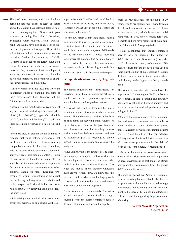The good news, however, is that despite there being no national target, at least 15 states across the country have released detailed policies for encouraging EVs. "Several state governments, including Karnataka, Maharashtra, Telangana, Uttar Pradesh, Kerala, Uttarakhand, and Delhi, have also taken steps to further developments in this space. These stateled initiatives include various activities such as providing funding for setting up of CoEs (Centers of Excellence) for R&D, incubation centers for clean energy start-ups, tax exemptions for EVs, promotion of skill development activities, adoption of e-buses for intracity public transportation, and setting up of charging infrastructure," said the study.

It further emphasised that these initiatives are in different stages of planning, and some of them have already been launched but the "picture varies from state to state".

According to the report, batteries require eight key raw materials including manganese (Mn), nickel (Ni), cobalt (Co), copper (Cu), aluminium (Al), graphite and titanium (Ti). It said that India has existing reserves of Mn, Ni, Cu, and Al.

"For these ores, an attempt should be made to produce high-value battery components that local and international cell-manufacturing companies can use. In the case of graphite, existing reserves should be evaluated for availability of large-flake graphite content … India has no reserves of the other raw materials (Co and Li), and for these, adequate arrangements for procuring ores or concentrates from other countries should be made. Localised processing of lithium concentrates is beneficial for the battery industry from a reliability and purity perspective. Purity of lithium raw materials is crucial for achieving long cycle life," the study noted.

While talking about the lack of access to necessary raw materials as an obstacle, Anil Dasgupta, who is the President and the Chief Executive Officer of the WRI, said in the report, "Resource availability could be a significant constraint in the future."

"For the raw materials that India lacks, locking in arrangements now to procure ores or concentrates from other countries in the future would be extremely advantageous. Additionally, the early creation of a closed recycling loop, where all materials that go into a battery are re-used at the end of its life, can enhance resource security while creating a sustainable battery life cycle," said Dasgupta in the report.

### **Set up infrastructure for recycling batteries**

The report suggested that infrastructure for recycling Li-ion batteries should be set up in parallel with the development of Gigafactories and other battery-industry-related efforts.

"Recycled batteries from EVs will become a prominent source of raw materials via urban mining. The initial setups could be in the form of pilot plants for recycling small volumes of Li-ion batteries. These can be great tools for skill development and for recycling process optimisation. Refurbishment centers could also be established prior to recycling to enable second life use in stationary applications," the study said.

Rahul Lamba, who is the founder of The Ener[gy Company,](https://theenergycompany.co.in/) a company that is working on the development of batteries, said, currently, India is in the same position as it was in 2010 when the mobile phone industry witnessed huge growth. "Right now, we know that the electric vehicle market is set for huge growth … so to avoid old mistakes we should have a clear focus on battery development."

"India does not have raw materials. For batteries, what we need to do is to finalise strategic sourcing. What the Indian companies need to do is invest in mines and secure the supply

chain of raw materials for the next 15-20 years. Efforts are already being made towards this. In addition to batteries, we need to focus on motors as well, which is another crucial component in EVs. Motors require rare earth elements and we have resources of such minerals," Lamba told Mongabay-India.

He also highlighted that Indian companies need to focus on increasing the budget for R&D (Research and Development) to make rapid advances in battery technologies. "We need to ensure that the products being used in India suit the Indian climate because it is quite different from the one in the countries where such battery technologies are being developed."

The study, meanwhile, also stressed on the importance of encouraging R&D in battery development. It said a "strong and mutually beneficial collaboration between industry and academia is needed to develop advanced technologies in India".

"Many of the innovations created in universities and research institutes are not able to move to the next stage of the development phase. A healthy network of incubation centers and COEs can help bridge the gap between industry and academia and foster the creation of a new start-up ecosystem in the field of clean energy technologies," it recommended.

It also said that central and state governments have to take various measures and help create an ideal environment so that India can attract next-generation technologies from the global R&D community as well.

The study suggested that "acquiring technologies for recycling batteries should also be given prominence along with the actual storage technologies" while noting that skill development in the space of Li-ion cell manufacturing will be critical for supporting large-scale manufacturing.

> **- Source: [Mayank Aggarwal o](https://india.mongabay.com/by/mayank-aggarwal/)n MONGABAY**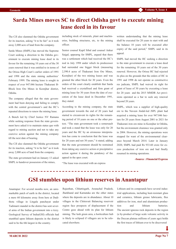# **Sarda Mines moves SC to direct Odisha govt to execute mining lease deed in its favour**

The CJI also slammed the Odisha government for its inaction, asking "it to be fair" as it took away 2,000 acre of land from the company.

Sarda Mines (SMPL) has moved the Supreme Court seeking a direction to the Odisha government to execute mining lease deed in its favour for the remaining 10 years out of the 30 years renewal that it was entitled to in terms of the Orissa High Court's earlier orders of 1991 and 1998 and the state mining authorities' February 1999. The mining lease is sought in respect of over 947.046 hectare Thakurani B-Block Iron Ore Mines in Keonjhar district, Odisha.

The company alleged that the state government had been denying and failing to comply with the central government's and the HC's repeated directions to renew the mining lease.

A Bench led by Chief Justice NV Ramana while seeking response from the state government have asked it to maintain status quo with regard to mining auction and not to take any coercive action against the mining company till the next date of hearing.

The CJI also slammed the Odisha government for its inaction, asking "it to be fair" as it took away 2,000 acre of land from the company.

The state government had on January 13 asked SMPL to handover possession of the mines,

including stock of minerals, plant and machineries, building structures, etc, to the mining officer.

Senior counsel Kapil Sibal and counsel Ankur Saigal, appearng for SMPL, argued that there was a settlement which had received the HC's nod in July 1998 under which its predecessor had surrended one bigger block (measuring 2,590.4 acres of Thakurani Iron Ore Mines, Keonjhar) of the two mining leases and was granted the other block for 30 years. Even the orders of the court clearly establish that Sarda had received a crystallised and firm grant of mining lease for 30 years from the date of execution of the lease deed in December 1991, they stated.

According to the mining company, the state government towards the end of 20 years had started to circumvent its rights for the remaining period of 10 years on one or the other pretext. "The state government took a somersault and took a stand that the lease was only for 20 years and the HC by an erroneous interpretation has come to conclusion that the lease was for 20 years and not 30 years," it stated, adding that the state government should be restrained from taking any coercive action or precipitative action against it during the pendency of the appeal in the apex court.

written understanding that the mining lease shall be executed for 20 years to start with and the balance 10 years will be executed after expiry of the said period," SMPL said in its appeal.

SMPL had moved the HC seeking a direction to the state government to execute a lease deed for the remaining 10 years out of the 30 years renewal. However, the Orissa HC had rejected its plea on the grounds that the orders of HC in 1991 and 1998 do not operate as constructive res judicata, SMPL had waived its right for grant of lease of 30 years by executing a lease for 20 years and the 2015 MMDR Act provisions operated as a bar to seek any renewal beyond 20 years.

SMPL, which was a supplier of high-quality ore to the Naveen Jindal-led JSPL plant had acquired a mining lease for over 947.046 hectare for 20 years from August 2001 to 2021 for Thakurani iron ore mine in Keonjhar in Odisha, but the environment clearance was granted only in 2004. However, the mining operations were stopped for want of the environmental clearance beyond March 2014. Later in January 2020, SMPL had paid Rs 933.60 crore for excess production of iron ore and had finally resumed its mining operations.

#### **-Source : Financial Express**

"The lease was executed with an express

### **GSI stumbles upon lithium reserves in Anantapur**

Anantapur: For several months now, an unremarkable patch of earth in the district, located a mere 60 kilometre away from here at Dadithota village in Lingala panchayat under Tadimarri mandal in the district has sent several arms of the Indian government into a tizzy. Geological Survey of India(GSI) officials had stumbled upon lithium deposits in the district said to be the 6th largest in the country.

Rajasthan, Chhattisgarh, Arunachal Pradesh, Jharkhand and Karnataka are the other states where the deposits are in abundance. About 10 villages in the Chitravati Balancing reservoir region face prospects of displacement if the Centre goes ahead with its plan for lithium mining. The lush green area, a horticulture hub is likely to eclipsed if villagers are to be relocated elsewhere.

Lithium and its compounds have several industrial applications, including heat-resistant glass and ceramics, lithium grease lubricants, flux additives for iron, steel and aluminium production and lithium batteries. The ancient igneous rock deposits in the region (a by-product of large scale volcanic activity in the Deccan plateau millions of years ago) holds the first traces of lithium ever to be discovered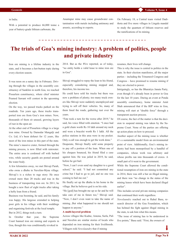in India.

With a potential to produce 66,000 tonne a year of battery-grade lithium carbonate, the

Anantapur mine may cause groundwater contamination with metals including antimony and arsenic, according to experts.

On February 18, a Central team visited Dadithota and five more villages in Lingala mandal to study the quantum of lithium reserves and the ramifications of its mining.

### **The trials of Goa's mining industry: A problem of politics, people and private industry**

Iron ore mining is a lifeline industry in the state, and it becomes a hot-button topic during every election season.

It was noon on a sunny day in February. Driving through the villages in the assembly constituency of Sanklim in north Goa, we reached Pissurlem constituency, where chief minister Pramod Sawant will contest in the upcoming election.

On the way, we passed trucks parked on the roadside. Ten years ago, these trucks transported iron ore from Goa's iron mines. Now, thousands of them sit unused, growing layers of rust in the open air.

At the other end of Pissurlem village is a large iron mine. Owned by Damodar Mangalji and Co. Ltd, it's been defunct for 12 years, like most of the iron mines in this part of the state. The mine's massive crater, formed through the mining process, is now filled with rainwater. The entire area is cordoned off with barbed wire, while security guards are posted around the water body.

A few kilometres away, we met Shivaji Parab, who owns a dhaba in Navelim-Myna village. Shivaji's is a riches to rags story: He once owned more than 20 trucks and was in the business of transporting iron ore. In 2011, he bought a new fleet of eight trucks after taking a hefty loan from a friend.

Business was booming, he said, and his family was happy. His largesse extended to helping poor girls in his village with their weddings and organising festivals at the local temple. But in 2012, things took a turn.

In October that year, the Supreme Court [banned](https://www.thehindu.com/news/national/other-states/in-goa-after-the-ban-on-mining/article23344024.ece) iron ore mining and exports in Goa, though this was conditionally revoked in

2014. But as the *[Wire](https://thewire.in/government/goa-iron-ore-mining-ban-continues-after-sc-rejects-review-petitions-upbraids-miners)* [reported,](https://thewire.in/government/goa-iron-ore-mining-ban-continues-after-sc-rejects-review-petitions-upbraids-miners) as of today, "no entity holds a valid lease to mine iron ore in Goa".

Shivaji struggled to repay the loan to his friend, especially considering mining stopped and, therefore, his income too.

He could have sold his trucks but there was now a problem of plenty; too many truck owners like Shivaji were suddenly unemployed and trying to sell off their vehicles. So, many of them lined the roads, gathering rust over the years.

"Fate took a turn for the worse after 2019," he said, his voice filled with emotion. "I once had a gold chain worth Rs 10 lakh around my neck and wore a bracelet worth Rs 1 lakh. All the police stations in this area were in my pocket. Only a call was enough to get the work done."

Desperate, Shivaji finally sold some property to pay off a portion of the loan. When one of his cheques bounced, his friend filed a case against him. He was jailed in 2019, he said, before he got bail.

"Now, I can't even send my daughter to a good school," he said. "I had not committed any crime but I had to go to jail, and no one was coming to bail me out."

He finally set up the dhaba in his home in the village. But he believes god is on his side.

"He [god] has brought me up so far and he will take care of me in future too," Shivaji said. "Now, I don't even want to take the name of mining...But what happened to me should not happen to anyone."

#### **A multi-layered problem**

Across villages like Kudne, Amona, Surla, Pali and Navelim are similar stories of locals who depended on iron mining for their livelihoods. Villagers told *Newslaundry* that if mining

resumes, their lives will change.

This is why the issue is central to politics in the state. In their election manifestos, all the major parties – including the Trinamool Congress and Congress – have promised to resume mining if they are elected to power.

Intriguingly, so has the Bharatiya Janata Party, even though it's already been in power in Goa for the last 10 years. During an event at Ponda assembly constituency, home minister Amit Shah [announced](https://www.business-standard.com/article/elections/goa-s-mining-industry-to-resume-with-double-force-after-polls-amit-shah-122013000780_1.html) that if the BJP wins in Goa, mining will start at "double force" through a transparent auction process.

Of course, the fact of the matter is that the decision to suspend mining was taken by the Supreme Court. None of the parties are offering up action plans on how to proceed.

Another aspect of the mining issue is whether it's a sustainable model from an environmental point of view. Additionally, Goa's mining industry had been monopolised by a handful of companies, whose work was arbitrary and whose profits ran into thousands of crores. A small part of it went to the government.

While the [Supreme Court allowed](https://www.downtoearth.org.in/news/supreme-court-allows-resumption-of-mining-in-goa-44110) the conditional resumption of iron ore mining in the state in 2014, there was still a bar on illegal mining, and there was "no change in the status of the mining leases which have been declared illegal earlier".

This includes several private mining companies that continued their work regardless.

*Newslaundry* reached out to Rahul Basu, research director of the Goa Foundation, which has helmed the fight against illegal mining in the state, to ask him what this means.

"The issue of mining has to be understood in five points," Basu said. "First, the owners of